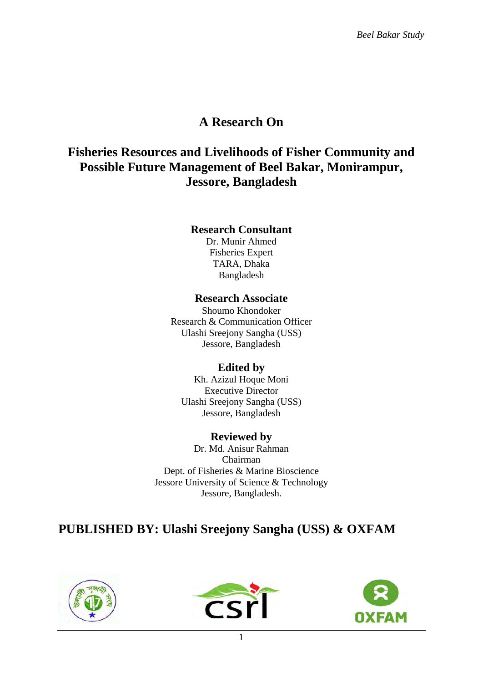# **A Research On**

# **Fisheries Resources and Livelihoods of Fisher Community and Possible Future Management of Beel Bakar, Monirampur, Jessore, Bangladesh**

### **Research Consultant**

Dr. Munir Ahmed Fisheries Expert TARA, Dhaka Bangladesh

## **Research Associate**

Shoumo Khondoker Research & Communication Officer Ulashi Sreejony Sangha (USS) Jessore, Bangladesh

## **Edited by**

Kh. Azizul Hoque Moni Executive Director Ulashi Sreejony Sangha (USS) Jessore, Bangladesh

## **Reviewed by**

Dr. Md. Anisur Rahman Chairman Dept. of Fisheries & Marine Bioscience Jessore University of Science & Technology Jessore, Bangladesh.

# **PUBLISHED BY: Ulashi Sreejony Sangha (USS) & OXFAM**





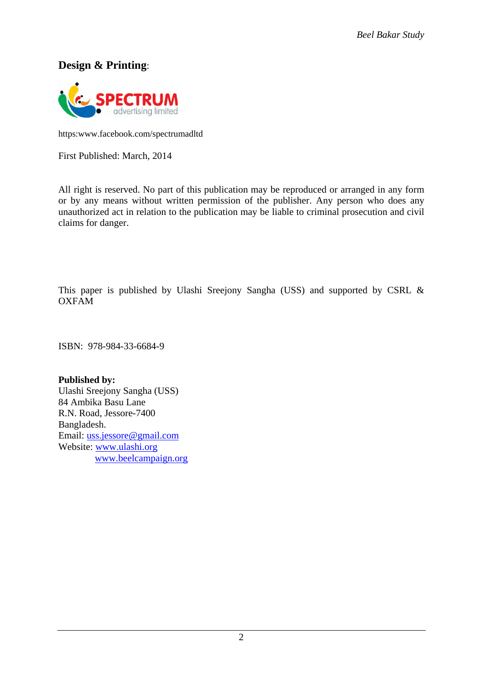## **Design & Printing**:



https:www.facebook.com/spectrumadltd

First Published: March, 2014

All right is reserved. No part of this publication may be reproduced or arranged in any form or by any means without written permission of the publisher. Any person who does any unauthorized act in relation to the publication may be liable to criminal prosecution and civil claims for danger.

This paper is published by Ulashi Sreejony Sangha (USS) and supported by CSRL & OXFAM

ISBN: 978-984-33-6684-9

#### **Published by:**

Ulashi Sreejony Sangha (USS) 84 Ambika Basu Lane R.N. Road, Jessore-7400 Bangladesh. Email: [uss.jessore@gmail.com](mailto:uss.jessore@gmail.com) Website: [www.ulashi.org](http://www.ulashi.org/) [www.beelcampaign.org](http://www.beelcampaign.org/)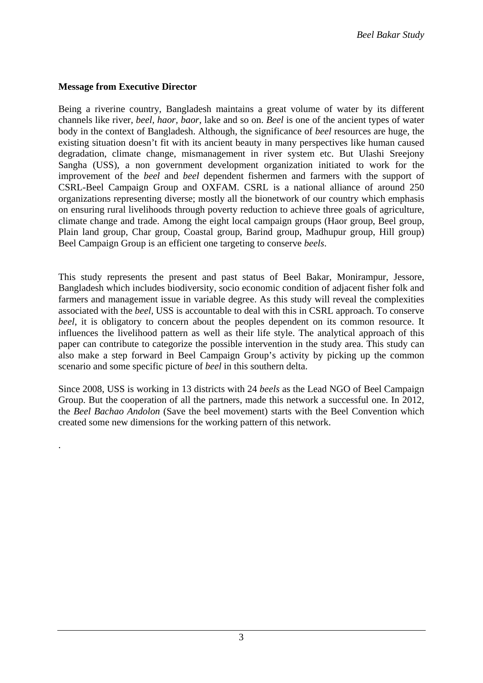#### **Message from Executive Director**

.

Being a riverine country, Bangladesh maintains a great volume of water by its different channels like river*, beel, haor, baor*, lake and so on. *Beel* is one of the ancient types of water body in the context of Bangladesh. Although, the significance of *beel* resources are huge, the existing situation doesn't fit with its ancient beauty in many perspectives like human caused degradation, climate change, mismanagement in river system etc. But Ulashi Sreejony Sangha (USS), a non government development organization initiated to work for the improvement of the *beel* and *beel* dependent fishermen and farmers with the support of CSRL-Beel Campaign Group and OXFAM. CSRL is a national alliance of around 250 organizations representing diverse; mostly all the bionetwork of our country which emphasis on ensuring rural livelihoods through poverty reduction to achieve three goals of agriculture, climate change and trade. Among the eight local campaign groups (Haor group, Beel group, Plain land group, Char group, Coastal group, Barind group, Madhupur group, Hill group) Beel Campaign Group is an efficient one targeting to conserve *beels*.

This study represents the present and past status of Beel Bakar, Monirampur, Jessore, Bangladesh which includes biodiversity, socio economic condition of adjacent fisher folk and farmers and management issue in variable degree. As this study will reveal the complexities associated with the *beel,* USS is accountable to deal with this in CSRL approach. To conserve *beel*, it is obligatory to concern about the peoples dependent on its common resource. It influences the livelihood pattern as well as their life style. The analytical approach of this paper can contribute to categorize the possible intervention in the study area. This study can also make a step forward in Beel Campaign Group's activity by picking up the common scenario and some specific picture of *beel* in this southern delta.

Since 2008, USS is working in 13 districts with 24 *beels* as the Lead NGO of Beel Campaign Group. But the cooperation of all the partners, made this network a successful one. In 2012, the *Beel Bachao Andolon* (Save the beel movement) starts with the Beel Convention which created some new dimensions for the working pattern of this network.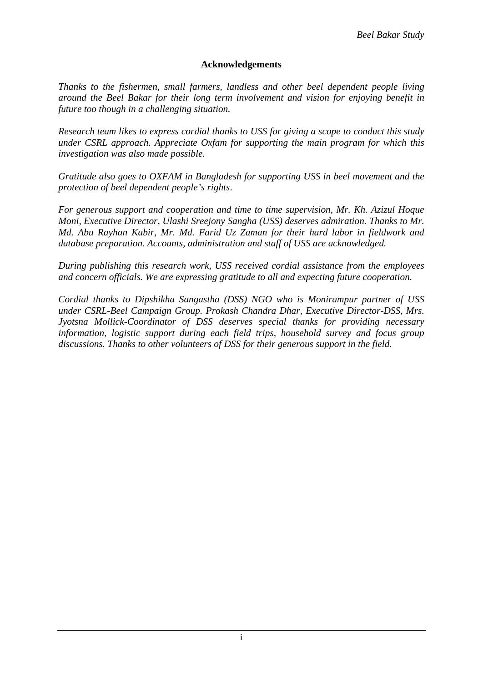#### **Acknowledgements**

*Thanks to the fishermen, small farmers, landless and other beel dependent people living around the Beel Bakar for their long term involvement and vision for enjoying benefit in future too though in a challenging situation.* 

*Research team likes to express cordial thanks to USS for giving a scope to conduct this study under CSRL approach. Appreciate Oxfam for supporting the main program for which this investigation was also made possible.* 

*Gratitude also goes to OXFAM in Bangladesh for supporting USS in beel movement and the protection of beel dependent people's rights*.

*For generous support and cooperation and time to time supervision, Mr. Kh. Azizul Hoque Moni, Executive Director, Ulashi Sreejony Sangha (USS) deserves admiration. Thanks to Mr. Md. Abu Rayhan Kabir, Mr. Md. Farid Uz Zaman for their hard labor in fieldwork and database preparation. Accounts, administration and staff of USS are acknowledged.*

*During publishing this research work, USS received cordial assistance from the employees and concern officials. We are expressing gratitude to all and expecting future cooperation.* 

*Cordial thanks to Dipshikha Sangastha (DSS) NGO who is Monirampur partner of USS under CSRL-Beel Campaign Group. Prokash Chandra Dhar, Executive Director-DSS, Mrs. Jyotsna Mollick-Coordinator of DSS deserves special thanks for providing necessary information, logistic support during each field trips, household survey and focus group discussions. Thanks to other volunteers of DSS for their generous support in the field.*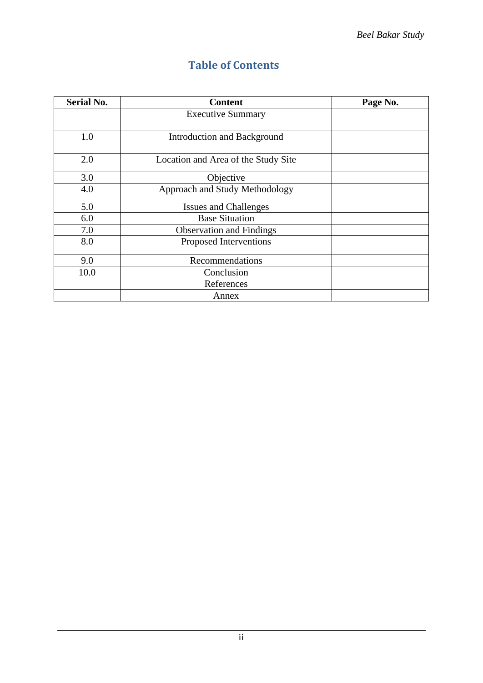| <b>Serial No.</b> | <b>Content</b>                      | Page No. |
|-------------------|-------------------------------------|----------|
|                   | <b>Executive Summary</b>            |          |
|                   |                                     |          |
| 1.0               | Introduction and Background         |          |
|                   |                                     |          |
| 2.0               | Location and Area of the Study Site |          |
| 3.0               | Objective                           |          |
| 4.0               | Approach and Study Methodology      |          |
| 5.0               | <b>Issues and Challenges</b>        |          |
| 6.0               | <b>Base Situation</b>               |          |
| 7.0               | <b>Observation and Findings</b>     |          |
| 8.0               | Proposed Interventions              |          |
| 9.0               | Recommendations                     |          |
| 10.0              | Conclusion                          |          |
|                   | References                          |          |
|                   | Annex                               |          |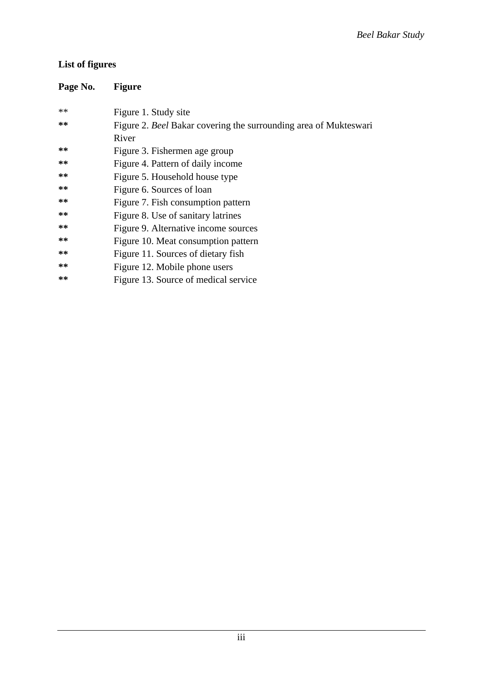## **List of figures**

| Page No. | <b>Figure</b>                                                    |
|----------|------------------------------------------------------------------|
| **       | Figure 1. Study site                                             |
| **       | Figure 2. Beel Bakar covering the surrounding area of Mukteswari |
|          | River                                                            |
| **       | Figure 3. Fishermen age group                                    |
| **       | Figure 4. Pattern of daily income                                |
| **       | Figure 5. Household house type                                   |
| **       | Figure 6. Sources of loan                                        |
| **       | Figure 7. Fish consumption pattern                               |
| **       | Figure 8. Use of sanitary latrines                               |
| **       | Figure 9. Alternative income sources                             |
| **       | Figure 10. Meat consumption pattern                              |
| **       | Figure 11. Sources of dietary fish                               |
| **       | Figure 12. Mobile phone users                                    |
| **       | Figure 13. Source of medical service                             |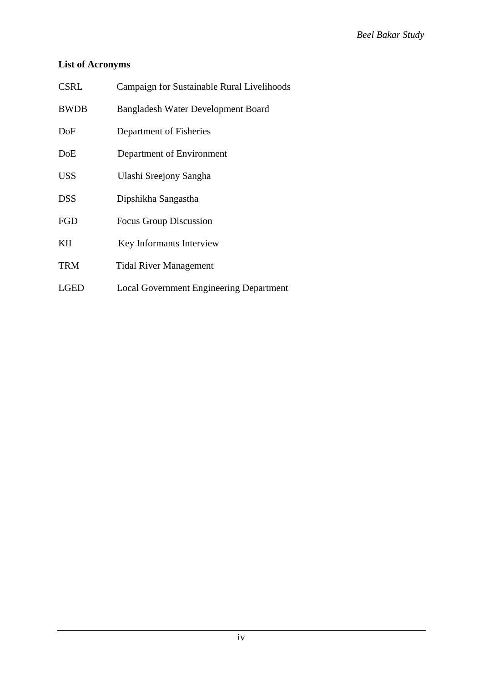## **List of Acronyms**

| <b>CSRL</b> | Campaign for Sustainable Rural Livelihoods     |  |
|-------------|------------------------------------------------|--|
| <b>BWDB</b> | <b>Bangladesh Water Development Board</b>      |  |
| DoF         | Department of Fisheries                        |  |
| DoE         | Department of Environment                      |  |
| <b>USS</b>  | Ulashi Sreejony Sangha                         |  |
| <b>DSS</b>  | Dipshikha Sangastha                            |  |
| FGD         | Focus Group Discussion                         |  |
| KП          | Key Informants Interview                       |  |
| <b>TRM</b>  | <b>Tidal River Management</b>                  |  |
| <b>LGED</b> | <b>Local Government Engineering Department</b> |  |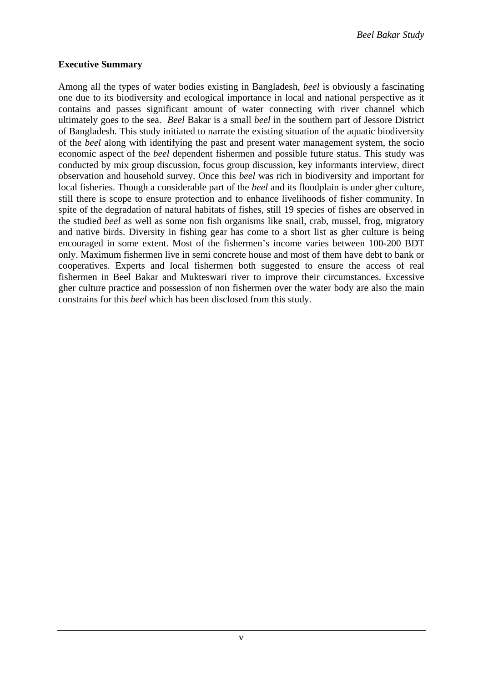#### **Executive Summary**

Among all the types of water bodies existing in Bangladesh, *beel* is obviously a fascinating one due to its biodiversity and ecological importance in local and national perspective as it contains and passes significant amount of water connecting with river channel which ultimately goes to the sea. *Beel* Bakar is a small *beel* in the southern part of Jessore District of Bangladesh. This study initiated to narrate the existing situation of the aquatic biodiversity of the *beel* along with identifying the past and present water management system, the socio economic aspect of the *beel* dependent fishermen and possible future status. This study was conducted by mix group discussion, focus group discussion, key informants interview, direct observation and household survey. Once this *beel* was rich in biodiversity and important for local fisheries. Though a considerable part of the *beel* and its floodplain is under gher culture, still there is scope to ensure protection and to enhance livelihoods of fisher community. In spite of the degradation of natural habitats of fishes, still 19 species of fishes are observed in the studied *beel* as well as some non fish organisms like snail, crab, mussel, frog, migratory and native birds. Diversity in fishing gear has come to a short list as gher culture is being encouraged in some extent. Most of the fishermen's income varies between 100-200 BDT only. Maximum fishermen live in semi concrete house and most of them have debt to bank or cooperatives. Experts and local fishermen both suggested to ensure the access of real fishermen in Beel Bakar and Mukteswari river to improve their circumstances. Excessive gher culture practice and possession of non fishermen over the water body are also the main constrains for this *beel* which has been disclosed from this study.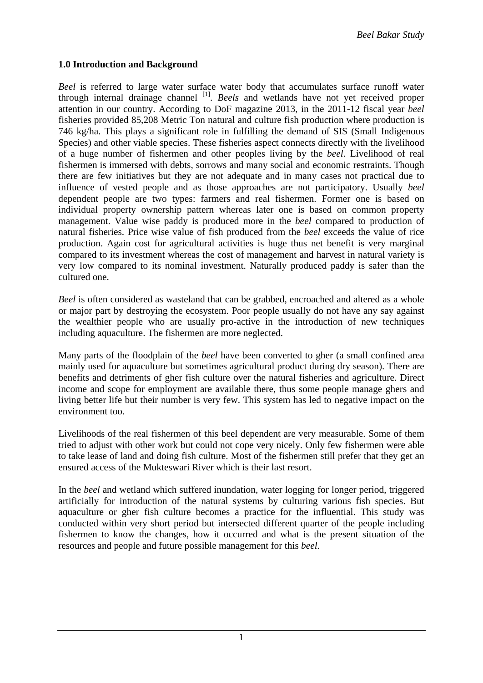#### **1.0 Introduction and Background**

*Beel* is referred to large water surface water body that accumulates surface runoff water through internal drainage channel [1]. *Beels* and wetlands have not yet received proper attention in our country. According to DoF magazine 2013, in the 2011-12 fiscal year *beel* fisheries provided 85,208 Metric Ton natural and culture fish production where production is 746 kg/ha. This plays a significant role in fulfilling the demand of SIS (Small Indigenous Species) and other viable species. These fisheries aspect connects directly with the livelihood of a huge number of fishermen and other peoples living by the *beel*. Livelihood of real fishermen is immersed with debts, sorrows and many social and economic restraints. Though there are few initiatives but they are not adequate and in many cases not practical due to influence of vested people and as those approaches are not participatory. Usually *beel* dependent people are two types: farmers and real fishermen. Former one is based on individual property ownership pattern whereas later one is based on common property management. Value wise paddy is produced more in the *beel* compared to production of natural fisheries. Price wise value of fish produced from the *beel* exceeds the value of rice production. Again cost for agricultural activities is huge thus net benefit is very marginal compared to its investment whereas the cost of management and harvest in natural variety is very low compared to its nominal investment. Naturally produced paddy is safer than the cultured one.

*Beel* is often considered as wasteland that can be grabbed, encroached and altered as a whole or major part by destroying the ecosystem. Poor people usually do not have any say against the wealthier people who are usually pro-active in the introduction of new techniques including aquaculture. The fishermen are more neglected.

Many parts of the floodplain of the *beel* have been converted to gher (a small confined area mainly used for aquaculture but sometimes agricultural product during dry season). There are benefits and detriments of gher fish culture over the natural fisheries and agriculture. Direct income and scope for employment are available there, thus some people manage ghers and living better life but their number is very few. This system has led to negative impact on the environment too.

Livelihoods of the real fishermen of this beel dependent are very measurable. Some of them tried to adjust with other work but could not cope very nicely. Only few fishermen were able to take lease of land and doing fish culture. Most of the fishermen still prefer that they get an ensured access of the Mukteswari River which is their last resort.

In the *beel* and wetland which suffered inundation, water logging for longer period, triggered artificially for introduction of the natural systems by culturing various fish species. But aquaculture or gher fish culture becomes a practice for the influential. This study was conducted within very short period but intersected different quarter of the people including fishermen to know the changes, how it occurred and what is the present situation of the resources and people and future possible management for this *beel.*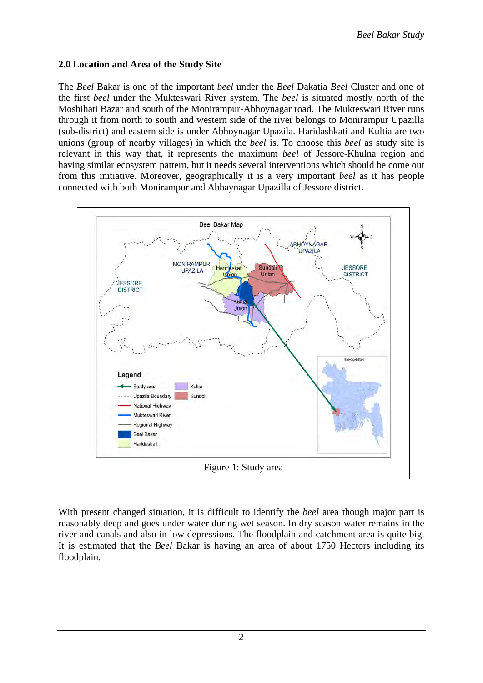#### **2.0 Location and Area of the Study Site**

The *Beel* Bakar is one of the important *beel* under the *Beel* Dakatia *Beel* Cluster and one of the first *beel* under the Mukteswari River system. The *beel* is situated mostly north of the Moshihati Bazar and south of the Monirampur-Abhoynagar road. The Mukteswari River runs through it from north to south and western side of the river belongs to Monirampur Upazilla (sub-district) and eastern side is under Abhoynagar Upazila. Haridashkati and Kultia are two unions (group of nearby villages) in which the *beel* is. To choose this *beel* as study site is relevant in this way that, it represents the maximum *beel* of Jessore-Khulna region and having similar ecosystem pattern, but it needs several interventions which should be come out from this initiative. Moreover, geographically it is a very important *beel* as it has people connected with both Monirampur and Abhaynagar Upazilla of Jessore district.



With present changed situation, it is difficult to identify the *beel* area though major part is reasonably deep and goes under water during wet season. In dry season water remains in the river and canals and also in low depressions. The floodplain and catchment area is quite big. It is estimated that the *Beel* Bakar is having an area of about 1750 Hectors including its floodplain.

2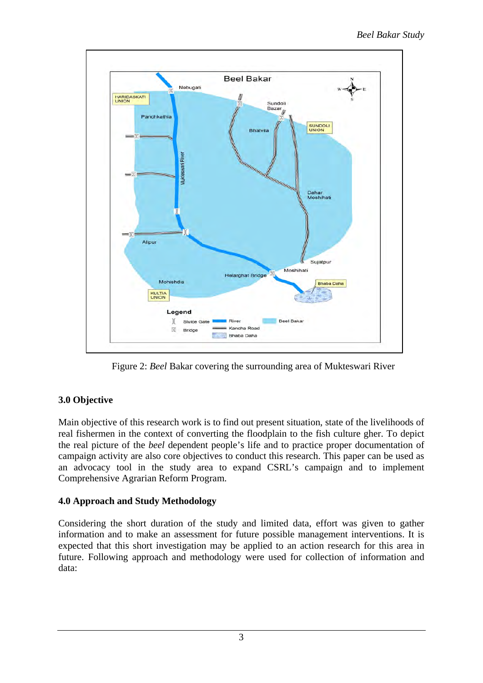

Figure 2: *Beel* Bakar covering the surrounding area of Mukteswari River

## **3.0 Objective**

Main objective of this research work is to find out present situation, state of the livelihoods of real fishermen in the context of converting the floodplain to the fish culture gher. To depict the real picture of the *beel* dependent people's life and to practice proper documentation of campaign activity are also core objectives to conduct this research. This paper can be used as an advocacy tool in the study area to expand CSRL's campaign and to implement Comprehensive Agrarian Reform Program.

## **4.0 Approach and Study Methodology**

Considering the short duration of the study and limited data, effort was given to gather information and to make an assessment for future possible management interventions. It is expected that this short investigation may be applied to an action research for this area in future. Following approach and methodology were used for collection of information and data: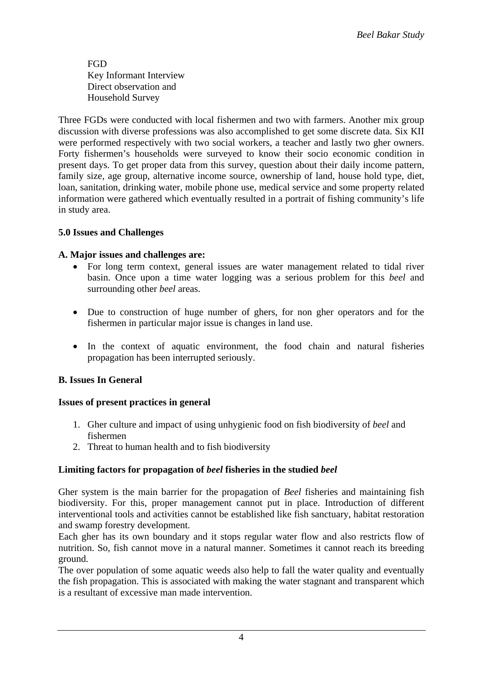FGD Key Informant Interview Direct observation and Household Survey

Three FGDs were conducted with local fishermen and two with farmers. Another mix group discussion with diverse professions was also accomplished to get some discrete data. Six KII were performed respectively with two social workers, a teacher and lastly two gher owners. Forty fishermen's households were surveyed to know their socio economic condition in present days. To get proper data from this survey, question about their daily income pattern, family size, age group, alternative income source, ownership of land, house hold type, diet, loan, sanitation, drinking water, mobile phone use, medical service and some property related information were gathered which eventually resulted in a portrait of fishing community's life in study area.

## **5.0 Issues and Challenges**

#### **A. Major issues and challenges are:**

- For long term context, general issues are water management related to tidal river basin. Once upon a time water logging was a serious problem for this *beel* and surrounding other *beel* areas.
- Due to construction of huge number of ghers, for non gher operators and for the fishermen in particular major issue is changes in land use.
- In the context of aquatic environment, the food chain and natural fisheries propagation has been interrupted seriously.

## **B. Issues In General**

#### **Issues of present practices in general**

- 1. Gher culture and impact of using unhygienic food on fish biodiversity of *beel* and fishermen
- 2. Threat to human health and to fish biodiversity

## **Limiting factors for propagation of** *beel* **fisheries in the studied** *beel*

Gher system is the main barrier for the propagation of *Beel* fisheries and maintaining fish biodiversity. For this, proper management cannot put in place. Introduction of different interventional tools and activities cannot be established like fish sanctuary, habitat restoration and swamp forestry development.

Each gher has its own boundary and it stops regular water flow and also restricts flow of nutrition. So, fish cannot move in a natural manner. Sometimes it cannot reach its breeding ground.

The over population of some aquatic weeds also help to fall the water quality and eventually the fish propagation. This is associated with making the water stagnant and transparent which is a resultant of excessive man made intervention.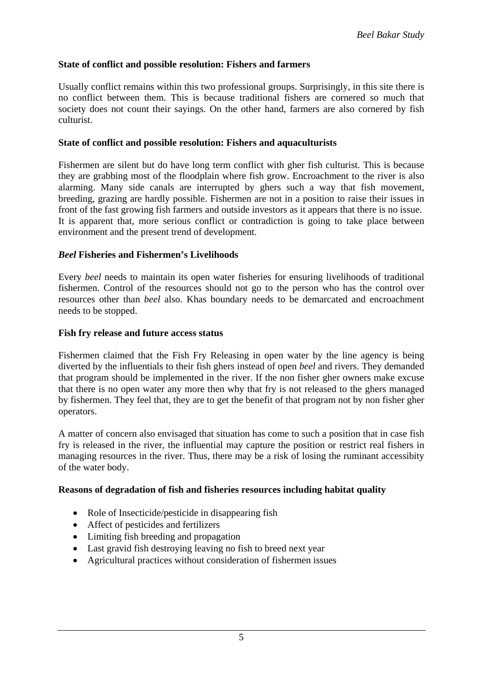#### **State of conflict and possible resolution: Fishers and farmers**

Usually conflict remains within this two professional groups. Surprisingly, in this site there is no conflict between them. This is because traditional fishers are cornered so much that society does not count their sayings. On the other hand, farmers are also cornered by fish culturist.

#### **State of conflict and possible resolution: Fishers and aquaculturists**

Fishermen are silent but do have long term conflict with gher fish culturist. This is because they are grabbing most of the floodplain where fish grow. Encroachment to the river is also alarming. Many side canals are interrupted by ghers such a way that fish movement, breeding, grazing are hardly possible. Fishermen are not in a position to raise their issues in front of the fast growing fish farmers and outside investors as it appears that there is no issue. It is apparent that, more serious conflict or contradiction is going to take place between environment and the present trend of development.

#### *Beel* **Fisheries and Fishermen's Livelihoods**

Every *beel* needs to maintain its open water fisheries for ensuring livelihoods of traditional fishermen. Control of the resources should not go to the person who has the control over resources other than *beel* also. Khas boundary needs to be demarcated and encroachment needs to be stopped.

#### **Fish fry release and future access status**

Fishermen claimed that the Fish Fry Releasing in open water by the line agency is being diverted by the influentials to their fish ghers instead of open *beel* and rivers. They demanded that program should be implemented in the river. If the non fisher gher owners make excuse that there is no open water any more then why that fry is not released to the ghers managed by fishermen. They feel that, they are to get the benefit of that program not by non fisher gher operators.

A matter of concern also envisaged that situation has come to such a position that in case fish fry is released in the river, the influential may capture the position or restrict real fishers in managing resources in the river. Thus, there may be a risk of losing the ruminant accessibity of the water body.

#### **Reasons of degradation of fish and fisheries resources including habitat quality**

- Role of Insecticide/pesticide in disappearing fish
- Affect of pesticides and fertilizers
- Limiting fish breeding and propagation
- Last gravid fish destroying leaving no fish to breed next year
- Agricultural practices without consideration of fishermen issues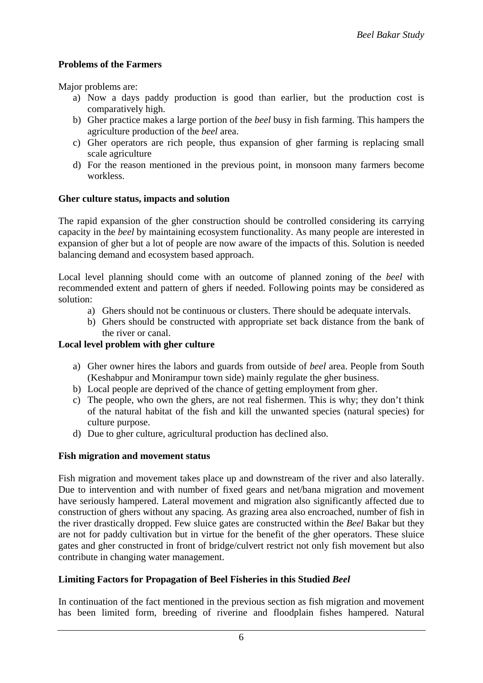### **Problems of the Farmers**

Major problems are:

- a) Now a days paddy production is good than earlier, but the production cost is comparatively high.
- b) Gher practice makes a large portion of the *beel* busy in fish farming. This hampers the agriculture production of the *beel* area.
- c) Gher operators are rich people, thus expansion of gher farming is replacing small scale agriculture
- d) For the reason mentioned in the previous point, in monsoon many farmers become workless.

#### **Gher culture status, impacts and solution**

The rapid expansion of the gher construction should be controlled considering its carrying capacity in the *beel* by maintaining ecosystem functionality. As many people are interested in expansion of gher but a lot of people are now aware of the impacts of this. Solution is needed balancing demand and ecosystem based approach.

Local level planning should come with an outcome of planned zoning of the *beel* with recommended extent and pattern of ghers if needed. Following points may be considered as solution:

- a) Ghers should not be continuous or clusters. There should be adequate intervals.
- b) Ghers should be constructed with appropriate set back distance from the bank of the river or canal.

#### **Local level problem with gher culture**

- a) Gher owner hires the labors and guards from outside of *beel* area. People from South (Keshabpur and Monirampur town side) mainly regulate the gher business.
- b) Local people are deprived of the chance of getting employment from gher.
- c) The people, who own the ghers, are not real fishermen. This is why; they don't think of the natural habitat of the fish and kill the unwanted species (natural species) for culture purpose.
- d) Due to gher culture, agricultural production has declined also.

#### **Fish migration and movement status**

Fish migration and movement takes place up and downstream of the river and also laterally. Due to intervention and with number of fixed gears and net/bana migration and movement have seriously hampered. Lateral movement and migration also significantly affected due to construction of ghers without any spacing. As grazing area also encroached, number of fish in the river drastically dropped. Few sluice gates are constructed within the *Beel* Bakar but they are not for paddy cultivation but in virtue for the benefit of the gher operators. These sluice gates and gher constructed in front of bridge/culvert restrict not only fish movement but also contribute in changing water management.

#### **Limiting Factors for Propagation of Beel Fisheries in this Studied** *Beel*

In continuation of the fact mentioned in the previous section as fish migration and movement has been limited form, breeding of riverine and floodplain fishes hampered. Natural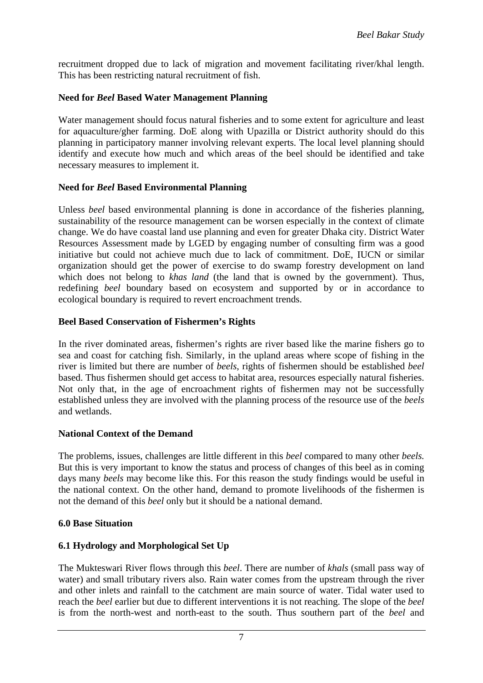recruitment dropped due to lack of migration and movement facilitating river/khal length. This has been restricting natural recruitment of fish.

#### **Need for** *Beel* **Based Water Management Planning**

Water management should focus natural fisheries and to some extent for agriculture and least for aquaculture/gher farming. DoE along with Upazilla or District authority should do this planning in participatory manner involving relevant experts. The local level planning should identify and execute how much and which areas of the beel should be identified and take necessary measures to implement it.

#### **Need for** *Beel* **Based Environmental Planning**

Unless *beel* based environmental planning is done in accordance of the fisheries planning, sustainability of the resource management can be worsen especially in the context of climate change. We do have coastal land use planning and even for greater Dhaka city. District Water Resources Assessment made by LGED by engaging number of consulting firm was a good initiative but could not achieve much due to lack of commitment. DoE, IUCN or similar organization should get the power of exercise to do swamp forestry development on land which does not belong to *khas land* (the land that is owned by the government). Thus, redefining *beel* boundary based on ecosystem and supported by or in accordance to ecological boundary is required to revert encroachment trends.

#### **Beel Based Conservation of Fishermen's Rights**

In the river dominated areas, fishermen's rights are river based like the marine fishers go to sea and coast for catching fish. Similarly, in the upland areas where scope of fishing in the river is limited but there are number of *beels*, rights of fishermen should be established *beel*  based. Thus fishermen should get access to habitat area, resources especially natural fisheries. Not only that, in the age of encroachment rights of fishermen may not be successfully established unless they are involved with the planning process of the resource use of the *beels* and wetlands.

#### **National Context of the Demand**

The problems, issues, challenges are little different in this *beel* compared to many other *beels.*  But this is very important to know the status and process of changes of this beel as in coming days many *beels* may become like this. For this reason the study findings would be useful in the national context. On the other hand, demand to promote livelihoods of the fishermen is not the demand of this *beel* only but it should be a national demand.

#### **6.0 Base Situation**

#### **6.1 Hydrology and Morphological Set Up**

The Mukteswari River flows through this *beel*. There are number of *khals* (small pass way of water) and small tributary rivers also. Rain water comes from the upstream through the river and other inlets and rainfall to the catchment are main source of water. Tidal water used to reach the *beel* earlier but due to different interventions it is not reaching. The slope of the *beel* is from the north-west and north-east to the south. Thus southern part of the *beel* and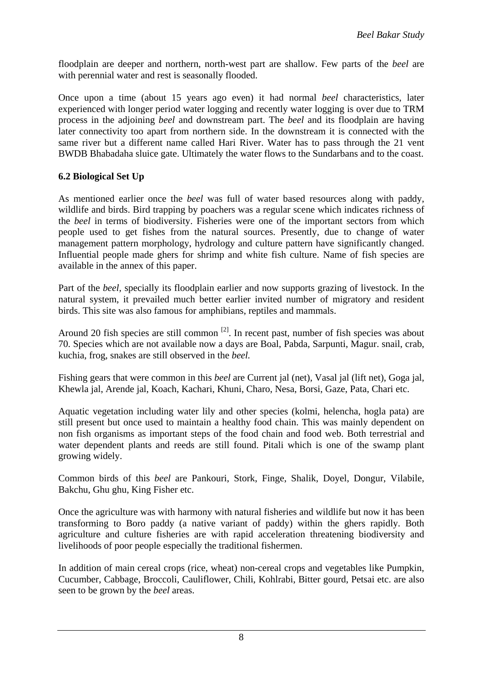floodplain are deeper and northern, north-west part are shallow. Few parts of the *beel* are with perennial water and rest is seasonally flooded.

Once upon a time (about 15 years ago even) it had normal *beel* characteristics, later experienced with longer period water logging and recently water logging is over due to TRM process in the adjoining *beel* and downstream part. The *beel* and its floodplain are having later connectivity too apart from northern side. In the downstream it is connected with the same river but a different name called Hari River. Water has to pass through the 21 vent BWDB Bhabadaha sluice gate. Ultimately the water flows to the Sundarbans and to the coast.

### **6.2 Biological Set Up**

As mentioned earlier once the *beel* was full of water based resources along with paddy, wildlife and birds. Bird trapping by poachers was a regular scene which indicates richness of the *beel* in terms of biodiversity. Fisheries were one of the important sectors from which people used to get fishes from the natural sources. Presently, due to change of water management pattern morphology, hydrology and culture pattern have significantly changed. Influential people made ghers for shrimp and white fish culture. Name of fish species are available in the annex of this paper.

Part of the *beel,* specially its floodplain earlier and now supports grazing of livestock. In the natural system, it prevailed much better earlier invited number of migratory and resident birds. This site was also famous for amphibians, reptiles and mammals.

Around 20 fish species are still common  $^{[2]}$ . In recent past, number of fish species was about 70. Species which are not available now a days are Boal, Pabda, Sarpunti, Magur. snail, crab, kuchia, frog, snakes are still observed in the *beel.*

Fishing gears that were common in this *beel* are Current jal (net), Vasal jal (lift net), Goga jal, Khewla jal, Arende jal, Koach, Kachari, Khuni, Charo, Nesa, Borsi, Gaze, Pata, Chari etc.

Aquatic vegetation including water lily and other species (kolmi, helencha, hogla pata) are still present but once used to maintain a healthy food chain. This was mainly dependent on non fish organisms as important steps of the food chain and food web. Both terrestrial and water dependent plants and reeds are still found. Pitali which is one of the swamp plant growing widely.

Common birds of this *beel* are Pankouri, Stork, Finge, Shalik, Doyel, Dongur, Vilabile, Bakchu, Ghu ghu, King Fisher etc.

Once the agriculture was with harmony with natural fisheries and wildlife but now it has been transforming to Boro paddy (a native variant of paddy) within the ghers rapidly. Both agriculture and culture fisheries are with rapid acceleration threatening biodiversity and livelihoods of poor people especially the traditional fishermen.

In addition of main cereal crops (rice, wheat) non-cereal crops and vegetables like Pumpkin, Cucumber, Cabbage, Broccoli, Cauliflower, Chili, Kohlrabi, Bitter gourd, Petsai etc. are also seen to be grown by the *beel* areas.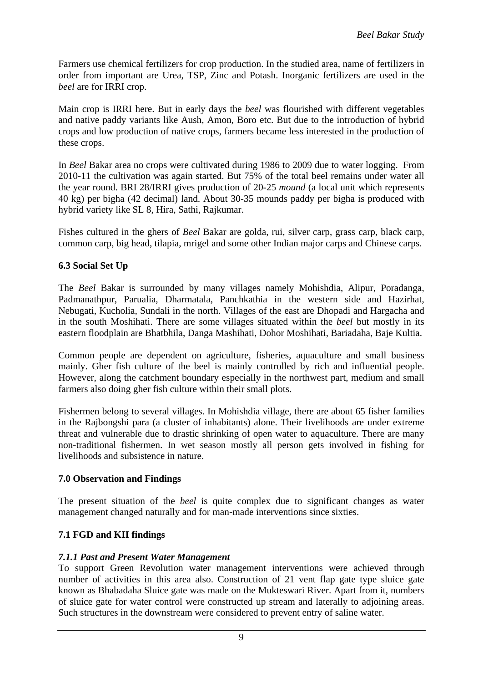Farmers use chemical fertilizers for crop production. In the studied area, name of fertilizers in order from important are Urea, TSP, Zinc and Potash. Inorganic fertilizers are used in the *beel* are for IRRI crop.

Main crop is IRRI here. But in early days the *beel* was flourished with different vegetables and native paddy variants like Aush, Amon, Boro etc. But due to the introduction of hybrid crops and low production of native crops, farmers became less interested in the production of these crops.

In *Beel* Bakar area no crops were cultivated during 1986 to 2009 due to water logging. From 2010-11 the cultivation was again started. But 75% of the total beel remains under water all the year round. BRI 28/IRRI gives production of 20-25 *mound* (a local unit which represents 40 kg) per bigha (42 decimal) land. About 30-35 mounds paddy per bigha is produced with hybrid variety like SL 8, Hira, Sathi, Rajkumar.

Fishes cultured in the ghers of *Beel* Bakar are golda, rui, silver carp, grass carp, black carp, common carp, big head, tilapia, mrigel and some other Indian major carps and Chinese carps.

#### **6.3 Social Set Up**

The *Beel* Bakar is surrounded by many villages namely Mohishdia, Alipur, Poradanga, Padmanathpur, Parualia, Dharmatala, Panchkathia in the western side and Hazirhat, Nebugati, Kucholia, Sundali in the north. Villages of the east are Dhopadi and Hargacha and in the south Moshihati. There are some villages situated within the *beel* but mostly in its eastern floodplain are Bhatbhila, Danga Mashihati, Dohor Moshihati, Bariadaha, Baje Kultia.

Common people are dependent on agriculture, fisheries, aquaculture and small business mainly. Gher fish culture of the beel is mainly controlled by rich and influential people. However, along the catchment boundary especially in the northwest part, medium and small farmers also doing gher fish culture within their small plots.

Fishermen belong to several villages. In Mohishdia village, there are about 65 fisher families in the Rajbongshi para (a cluster of inhabitants) alone. Their livelihoods are under extreme threat and vulnerable due to drastic shrinking of open water to aquaculture. There are many non-traditional fishermen. In wet season mostly all person gets involved in fishing for livelihoods and subsistence in nature.

#### **7.0 Observation and Findings**

The present situation of the *beel* is quite complex due to significant changes as water management changed naturally and for man-made interventions since sixties.

#### **7.1 FGD and KII findings**

#### *7.1.1 Past and Present Water Management*

To support Green Revolution water management interventions were achieved through number of activities in this area also. Construction of 21 vent flap gate type sluice gate known as Bhabadaha Sluice gate was made on the Mukteswari River. Apart from it, numbers of sluice gate for water control were constructed up stream and laterally to adjoining areas. Such structures in the downstream were considered to prevent entry of saline water.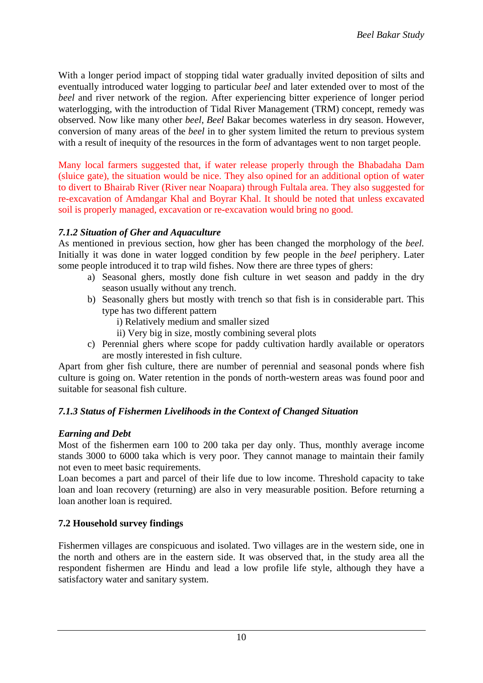With a longer period impact of stopping tidal water gradually invited deposition of silts and eventually introduced water logging to particular *beel* and later extended over to most of the *beel* and river network of the region. After experiencing bitter experience of longer period waterlogging, with the introduction of Tidal River Management (TRM) concept, remedy was observed. Now like many other *beel*, *Beel* Bakar becomes waterless in dry season. However, conversion of many areas of the *beel* in to gher system limited the return to previous system with a result of inequity of the resources in the form of advantages went to non target people.

Many local farmers suggested that, if water release properly through the Bhabadaha Dam (sluice gate), the situation would be nice. They also opined for an additional option of water to divert to Bhairab River (River near Noapara) through Fultala area. They also suggested for re-excavation of Amdangar Khal and Boyrar Khal. It should be noted that unless excavated soil is properly managed, excavation or re-excavation would bring no good.

#### *7.1.2 Situation of Gher and Aquaculture*

As mentioned in previous section, how gher has been changed the morphology of the *beel.* Initially it was done in water logged condition by few people in the *beel* periphery. Later some people introduced it to trap wild fishes. Now there are three types of ghers:

- a) Seasonal ghers, mostly done fish culture in wet season and paddy in the dry season usually without any trench.
- b) Seasonally ghers but mostly with trench so that fish is in considerable part. This type has two different pattern

i) Relatively medium and smaller sized

- ii) Very big in size, mostly combining several plots
- c) Perennial ghers where scope for paddy cultivation hardly available or operators are mostly interested in fish culture.

Apart from gher fish culture, there are number of perennial and seasonal ponds where fish culture is going on. Water retention in the ponds of north-western areas was found poor and suitable for seasonal fish culture.

#### *7.1.3 Status of Fishermen Livelihoods in the Context of Changed Situation*

#### *Earning and Debt*

Most of the fishermen earn 100 to 200 taka per day only. Thus, monthly average income stands 3000 to 6000 taka which is very poor. They cannot manage to maintain their family not even to meet basic requirements.

Loan becomes a part and parcel of their life due to low income. Threshold capacity to take loan and loan recovery (returning) are also in very measurable position. Before returning a loan another loan is required.

#### **7.2 Household survey findings**

Fishermen villages are conspicuous and isolated. Two villages are in the western side, one in the north and others are in the eastern side. It was observed that, in the study area all the respondent fishermen are Hindu and lead a low profile life style, although they have a satisfactory water and sanitary system.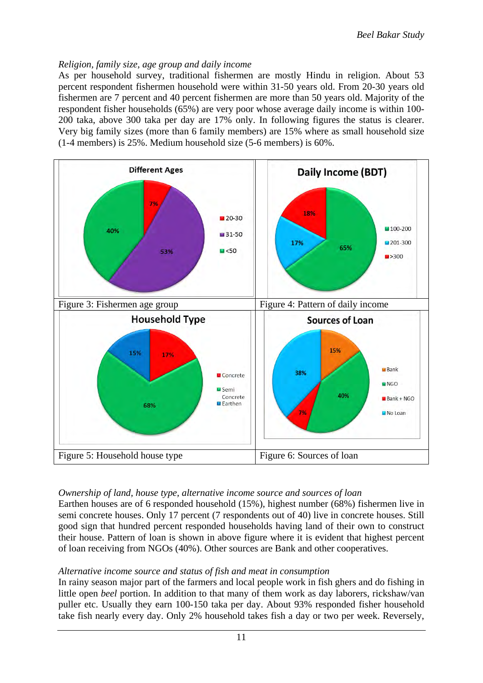#### *Religion, family size, age group and daily income*

As per household survey, traditional fishermen are mostly Hindu in religion. About 53 percent respondent fishermen household were within 31-50 years old. From 20-30 years old fishermen are 7 percent and 40 percent fishermen are more than 50 years old. Majority of the respondent fisher households (65%) are very poor whose average daily income is within 100- 200 taka, above 300 taka per day are 17% only. In following figures the status is clearer. Very big family sizes (more than 6 family members) are 15% where as small household size (1-4 members) is 25%. Medium household size (5-6 members) is 60%.



#### *Ownership of land, house type, alternative income source and sources of loan*

Earthen houses are of 6 responded household (15%), highest number (68%) fishermen live in semi concrete houses. Only 17 percent (7 respondents out of 40) live in concrete houses. Still good sign that hundred percent responded households having land of their own to construct their house. Pattern of loan is shown in above figure where it is evident that highest percent of loan receiving from NGOs (40%). Other sources are Bank and other cooperatives.

#### *Alternative income source and status of fish and meat in consumption*

In rainy season major part of the farmers and local people work in fish ghers and do fishing in little open *beel* portion. In addition to that many of them work as day laborers, rickshaw/van puller etc. Usually they earn 100-150 taka per day. About 93% responded fisher household take fish nearly every day. Only 2% household takes fish a day or two per week. Reversely,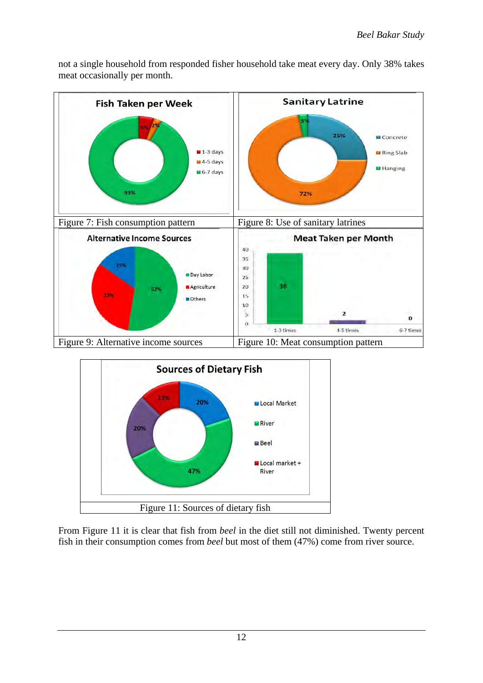

not a single household from responded fisher household take meat every day. Only 38% takes meat occasionally per month.



From Figure 11 it is clear that fish from *beel* in the diet still not diminished. Twenty percent fish in their consumption comes from *beel* but most of them (47%) come from river source.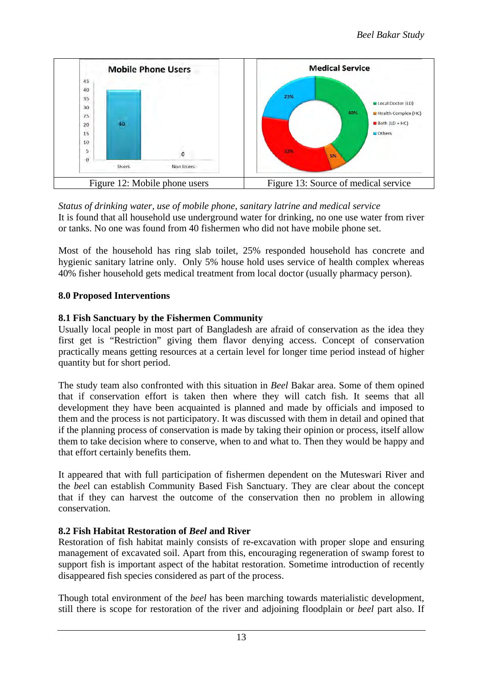

*Status of drinking water, use of mobile phone, sanitary latrine and medical service* It is found that all household use underground water for drinking, no one use water from river or tanks. No one was found from 40 fishermen who did not have mobile phone set.

Most of the household has ring slab toilet, 25% responded household has concrete and hygienic sanitary latrine only. Only 5% house hold uses service of health complex whereas 40% fisher household gets medical treatment from local doctor (usually pharmacy person).

## **8.0 Proposed Interventions**

### **8.1 Fish Sanctuary by the Fishermen Community**

Usually local people in most part of Bangladesh are afraid of conservation as the idea they first get is "Restriction" giving them flavor denying access. Concept of conservation practically means getting resources at a certain level for longer time period instead of higher quantity but for short period.

The study team also confronted with this situation in *Beel* Bakar area. Some of them opined that if conservation effort is taken then where they will catch fish. It seems that all development they have been acquainted is planned and made by officials and imposed to them and the process is not participatory. It was discussed with them in detail and opined that if the planning process of conservation is made by taking their opinion or process, itself allow them to take decision where to conserve, when to and what to. Then they would be happy and that effort certainly benefits them.

It appeared that with full participation of fishermen dependent on the Muteswari River and the *bee*l can establish Community Based Fish Sanctuary. They are clear about the concept that if they can harvest the outcome of the conservation then no problem in allowing conservation.

## **8.2 Fish Habitat Restoration of** *Beel* **and River**

Restoration of fish habitat mainly consists of re-excavation with proper slope and ensuring management of excavated soil. Apart from this, encouraging regeneration of swamp forest to support fish is important aspect of the habitat restoration. Sometime introduction of recently disappeared fish species considered as part of the process.

Though total environment of the *beel* has been marching towards materialistic development, still there is scope for restoration of the river and adjoining floodplain or *beel* part also. If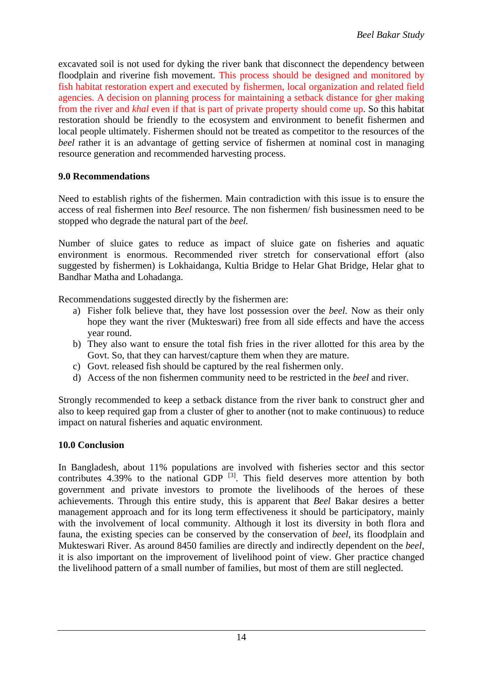excavated soil is not used for dyking the river bank that disconnect the dependency between floodplain and riverine fish movement. This process should be designed and monitored by fish habitat restoration expert and executed by fishermen, local organization and related field agencies. A decision on planning process for maintaining a setback distance for gher making from the river and *khal* even if that is part of private property should come up. So this habitat restoration should be friendly to the ecosystem and environment to benefit fishermen and local people ultimately. Fishermen should not be treated as competitor to the resources of the *beel* rather it is an advantage of getting service of fishermen at nominal cost in managing resource generation and recommended harvesting process.

#### **9.0 Recommendations**

Need to establish rights of the fishermen. Main contradiction with this issue is to ensure the access of real fishermen into *Beel* resource. The non fishermen/ fish businessmen need to be stopped who degrade the natural part of the *beel.*

Number of sluice gates to reduce as impact of sluice gate on fisheries and aquatic environment is enormous. Recommended river stretch for conservational effort (also suggested by fishermen) is Lokhaidanga, Kultia Bridge to Helar Ghat Bridge, Helar ghat to Bandhar Matha and Lohadanga.

Recommendations suggested directly by the fishermen are:

- a) Fisher folk believe that, they have lost possession over the *beel.* Now as their only hope they want the river (Mukteswari) free from all side effects and have the access year round.
- b) They also want to ensure the total fish fries in the river allotted for this area by the Govt. So, that they can harvest/capture them when they are mature.
- c) Govt. released fish should be captured by the real fishermen only.
- d) Access of the non fishermen community need to be restricted in the *beel* and river.

Strongly recommended to keep a setback distance from the river bank to construct gher and also to keep required gap from a cluster of gher to another (not to make continuous) to reduce impact on natural fisheries and aquatic environment.

#### **10.0 Conclusion**

In Bangladesh, about 11% populations are involved with fisheries sector and this sector contributes  $4.39\%$  to the national GDP  $^{[3]}$ . This field deserves more attention by both government and private investors to promote the livelihoods of the heroes of these achievements. Through this entire study, this is apparent that *Beel* Bakar desires a better management approach and for its long term effectiveness it should be participatory, mainly with the involvement of local community. Although it lost its diversity in both flora and fauna, the existing species can be conserved by the conservation of *beel*, its floodplain and Mukteswari River. As around 8450 families are directly and indirectly dependent on the *beel,*  it is also important on the improvement of livelihood point of view. Gher practice changed the livelihood pattern of a small number of families, but most of them are still neglected.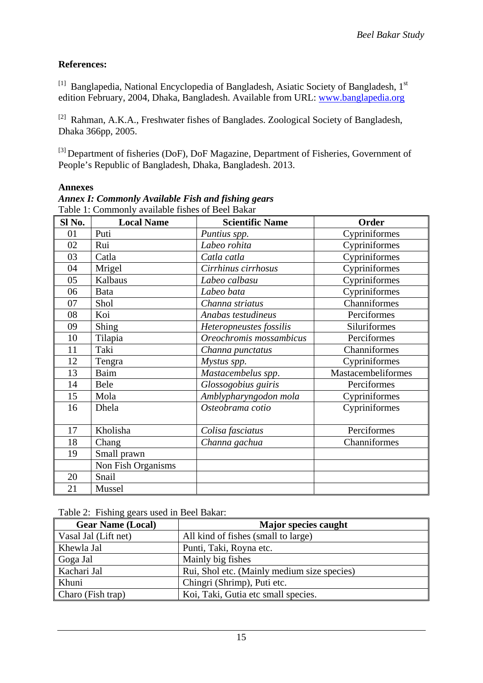## **References:**

<sup>[1]</sup> Banglapedia, National Encyclopedia of Bangladesh, Asiatic Society of Bangladesh, 1<sup>st</sup> edition February, 2004, Dhaka, Bangladesh. Available from URL: [www.banglapedia.org](http://www.banglapedia.org/) 

[2] Rahman, A.K.A., Freshwater fishes of Banglades. Zoological Society of Bangladesh, Dhaka 366pp, 2005.

<sup>[3]</sup> Department of fisheries (DoF), DoF Magazine, Department of Fisheries, Government of People's Republic of Bangladesh, Dhaka, Bangladesh. 2013.

#### **Annexes**

| Sl No. | <b>Local Name</b>  | <b>Scientific Name</b>  | Order              |
|--------|--------------------|-------------------------|--------------------|
| 01     | Puti               | Puntius spp.            | Cypriniformes      |
| 02     | Rui                | Labeo rohita            | Cypriniformes      |
| 03     | Catla              | Catla catla             | Cypriniformes      |
| 04     | Mrigel             | Cirrhinus cirrhosus     | Cypriniformes      |
| 05     | Kalbaus            | Labeo calbasu           | Cypriniformes      |
| 06     | Bata               | Labeo bata              | Cypriniformes      |
| 07     | Shol               | Channa striatus         | Channiformes       |
| 08     | Koi                | Anabas testudineus      | Perciformes        |
| 09     | <b>Shing</b>       | Heteropneustes fossilis | Siluriformes       |
| 10     | Tilapia            | Oreochromis mossambicus | Perciformes        |
| 11     | Taki               | Channa punctatus        | Channiformes       |
| 12     | Tengra             | Mystus spp.             | Cypriniformes      |
| 13     | Baim               | Mastacembelus spp.      | Mastacembeliformes |
| 14     | Bele               | Glossogobius guiris     | Perciformes        |
| 15     | Mola               | Amblypharyngodon mola   | Cypriniformes      |
| 16     | Dhela              | Osteobrama cotio        | Cypriniformes      |
|        |                    |                         |                    |
| 17     | Kholisha           | Colisa fasciatus        | Perciformes        |
| 18     | Chang              | Channa gachua           | Channiformes       |
| 19     | Small prawn        |                         |                    |
|        | Non Fish Organisms |                         |                    |
| 20     | Snail              |                         |                    |
| 21     | Mussel             |                         |                    |

*Annex I: Commonly Available Fish and fishing gears* Table 1: Commonly available fishes of Beel Bakar

### Table 2: Fishing gears used in Beel Bakar:

| <b>Gear Name (Local)</b> | <b>Major species caught</b>                 |
|--------------------------|---------------------------------------------|
| Vasal Jal (Lift net)     | All kind of fishes (small to large)         |
| Khewla Jal               | Punti, Taki, Royna etc.                     |
| Goga Jal                 | Mainly big fishes                           |
| Kachari Jal              | Rui, Shol etc. (Mainly medium size species) |
| Khuni                    | Chingri (Shrimp), Puti etc.                 |
| Charo (Fish trap)        | Koi, Taki, Gutia etc small species.         |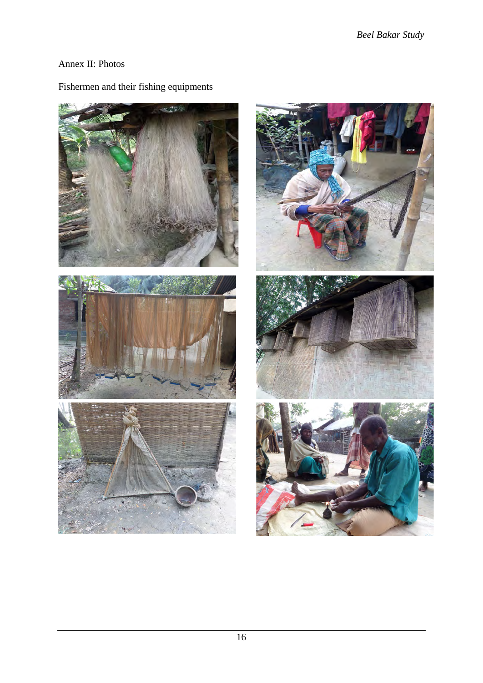## Annex II: Photos



## Fishermen and their fishing equipments

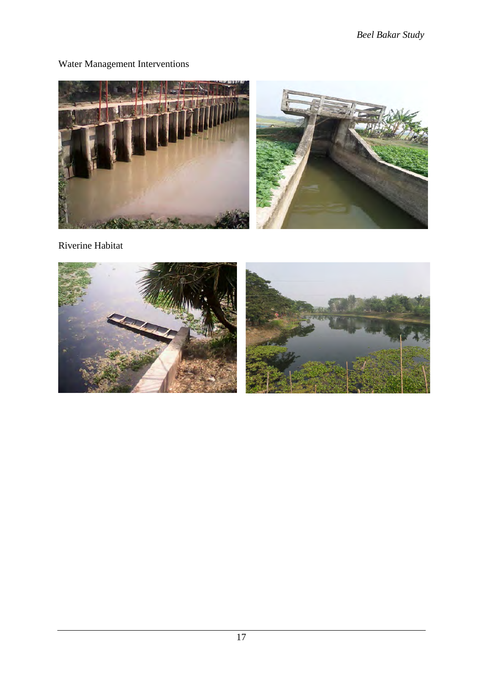## Water Management Interventions



Riverine Habitat

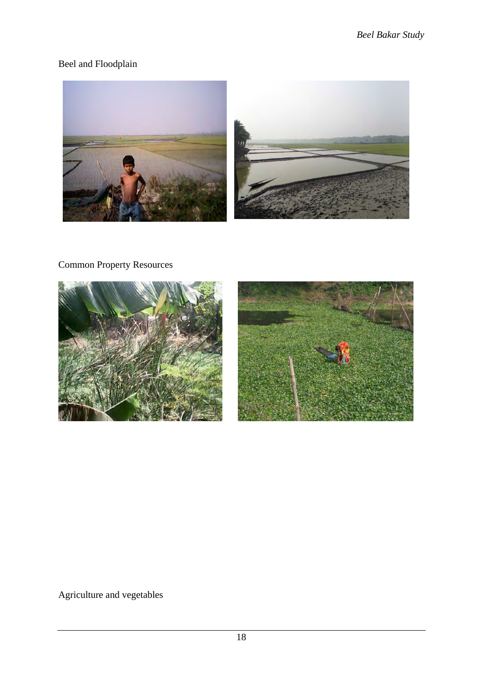# Beel and Floodplain



# Common Property Resources



Agriculture and vegetables